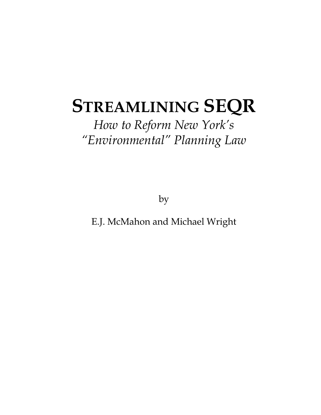# **STREAMLINING SEQR**

## *How to Reform New York's "Environmental" Planning Law*

by

E.J. McMahon and Michael Wright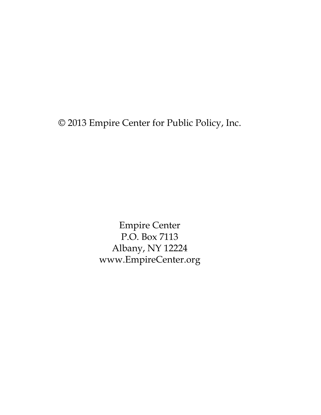© 2013 Empire Center for Public Policy, Inc.

Empire Center P.O. Box 7113 Albany, NY 12224 www.EmpireCenter.org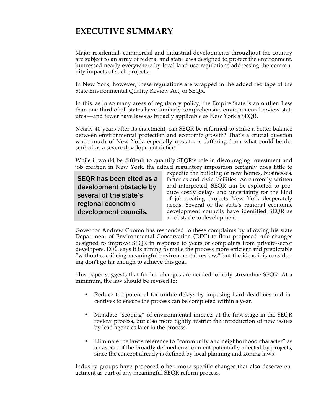### **EXECUTIVE SUMMARY**

Major residential, commercial and industrial developments throughout the country are subject to an array of federal and state laws designed to protect the environment, buttressed nearly everywhere by local land-use regulations addressing the community impacts of such projects.

In New York, however, these regulations are wrapped in the added red tape of the State Environmental Quality Review Act, or SEQR.

In this, as in so many areas of regulatory policy, the Empire State is an outlier. Less than one-third of all states have similarly comprehensive environmental review statutes —and fewer have laws as broadly applicable as New York's SEQR.

Nearly 40 years after its enactment, can SEQR be reformed to strike a better balance between environmental protection and economic growth? That's a crucial question when much of New York, especially upstate, is suffering from what could be described as a severe development deficit.

While it would be difficult to quantify SEQR's role in discouraging investment and job creation in New York, the added regulatory imposition certainly does little to

SEQR has been cited as a development obstacle by several of the state's regional economic development councils.

expedite the building of new homes, businesses, factories and civic facilities. As currently written and interpreted, SEQR can be exploited to produce costly delays and uncertainty for the kind of job-creating projects New York desperately needs. Several of the state's regional economic development councils have identified SEQR as an obstacle to development.

Governor Andrew Cuomo has responded to these complaints by allowing his state Department of Environmental Conservation (DEC) to float proposed rule changes designed to improve SEQR in response to years of complaints from private-sector developers. DEC says it is aiming to make the process more efficient and predictable "without sacrificing meaningful environmental review," but the ideas it is considering don't go far enough to achieve this goal.

This paper suggests that further changes are needed to truly streamline SEQR. At a minimum, the law should be revised to:

- Reduce the potential for undue delays by imposing hard deadlines and incentives to ensure the process can be completed within a year.
- Mandate "scoping" of environmental impacts at the first stage in the SEQR review process, but also more tightly restrict the introduction of new issues by lead agencies later in the process.
- Eliminate the law's reference to "community and neighborhood character" as an aspect of the broadly defined environment potentially affected by projects, since the concept already is defined by local planning and zoning laws.

Industry groups have proposed other, more specific changes that also deserve enactment as part of any meaningful SEQR reform process.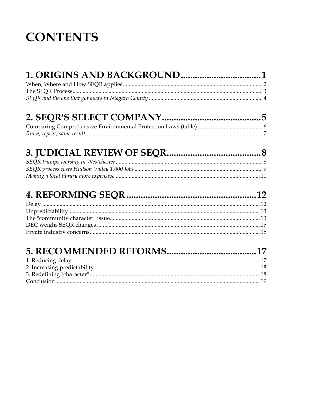## **CONTENTS**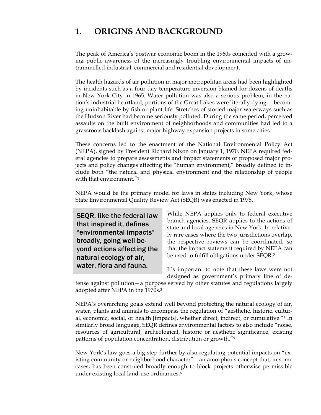### **1. ORIGINS AND BACKGROUND**

The peak of America's postwar economic boom in the 1960s coincided with a growing public awareness of the increasingly troubling environmental impacts of untrammelled industrial, commercial and residential development.

The health hazards of air pollution in major metropolitan areas had been highlighted by incidents such as a four-day temperature inversion blamed for dozens of deaths in New York City in 1965. Water pollution was also a serious problem; in the nation's industrial heartland, portions of the Great Lakes were literally dying— becoming uninhabitable by fish or plant life. Stretches of storied major waterways such as the Hudson River had become seriously polluted. During the same period, perceived assaults on the built environment of neighborhoods and communities had led to a grassroots backlash against major highway expansion projects in some cities.

These concerns led to the enactment of the National Environmental Policy Act (NEPA), signed by President Richard Nixon on January 1, 1970. NEPA required federal agencies to prepare assessments and impact statements of proposed major projects and policy changes affecting the "human environment," broadly defined to include both "the natural and physical environment and the relationship of people with that environment."<sup>1</sup>

NEPA would be the primary model for laws in states including New York, whose State Environmental Quality Review Act (SEQR) was enacted in 1975.

SEQR, like the federal law that inspired it, defines "environmental impacts" broadly, going well beyond actions affecting the natural ecology of air, water, flora and fauna.

While NEPA applies only to federal executive branch agencies, SEQR applies to the actions of state and local agencies in New York. In relatively rare cases where the two jurisdictions overlap, the respective reviews can be coordinated, so that the impact statement required by NEPA can be used to fulfill obligations under SEQR.2

It's important to note that these laws were not designed as government's primary line of de-

fense against pollution—a purpose served by other statutes and regulations largely adopted after NEPA in the 1970s.3

NEPA's overarching goals extend well beyond protecting the natural ecology of air, water, plants and animals to encompass the regulation of "aesthetic, historic, cultural, economic, social, or health [impacts], whether direct, indirect, or cumulative."4 In similarly broad language, SEQR defines environmental factors to also include "noise, resources of agricultural, archeological, historic or aesthetic significance, existing patterns of population concentration, distribution or growth."5

New York's law goes a big step further by also regulating potential impacts on "existing community or neighborhood character"—an amorphous concept that, in some cases, has been construed broadly enough to block projects otherwise permissible under existing local land-use ordinances.6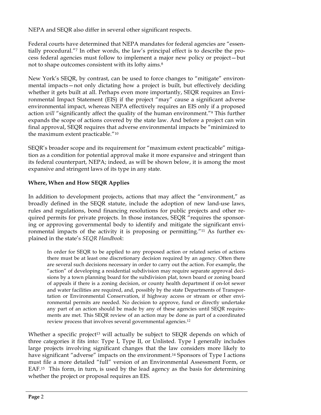NEPA and SEQR also differ in several other significant respects.

Federal courts have determined that NEPA mandates for federal agencies are "essentially procedural."7 In other words, the law's principal effect is to describe the process federal agencies must follow to implement a major new policy or project—but not to shape outcomes consistent with its lofty aims.8

New York's SEQR, by contrast, can be used to force changes to "mitigate" environmental impacts—not only dictating how a project is built, but effectively deciding whether it gets built at all. Perhaps even more importantly, SEQR requires an Environmental Impact Statement (EIS) if the project "may" cause a significant adverse environmental impact, whereas NEPA effectively requires an EIS only if a proposed action *will* "significantly affect the quality of the human environment."9 This further expands the scope of actions covered by the state law. And before a project can win final approval, SEQR requires that adverse environmental impacts be "minimized to the maximum extent practicable."10

SEQR's broader scope and its requirement for "maximum extent practicable" mitigation as a condition for potential approval make it more expansive and stringent than its federal counterpart, NEPA; indeed, as will be shown below, it is among the most expansive and stringent laws of its type in any state.

### **Where, When and How SEQR Applies**

In addition to development projects, actions that may affect the "environment," as broadly defined in the SEQR statute, include the adoption of new land-use laws, rules and regulations, bond financing resolutions for public projects and other required permits for private projects. In those instances, SEQR "requires the sponsoring or approving governmental body to identify and mitigate the significant environmental impacts of the activity it is proposing or permitting."11 As further explained in the state's *SEQR Handbook*:

In order for SEQR to be applied to any proposed action or related series of actions there must be at least one discretionary decision required by an agency. Often there are several such decisions necessary in order to carry out the action. For example, the "action" of developing a residential subdivision may require separate approval decisions by a town planning board for the subdivision plat, town board or zoning board of appeals if there is a zoning decision, or county health department if on-lot sewer and water facilities are required, and, possibly by the state Departments of Transportation or Environmental Conservation, if highway access or stream or other environmental permits are needed. No decision to approve, fund or directly undertake any part of an action should be made by any of these agencies until SEQR requirements are met. This SEQR review of an action may be done as part of a coordinated review process that involves several governmental agencies.<sup>12</sup>

Whether a specific project<sup>13</sup> will actually be subject to SEQR depends on which of three categories it fits into: Type I, Type II, or Unlisted. Type I generally includes large projects involving significant changes that the law considers more likely to have significant "adverse" impacts on the environment.<sup>14</sup> Sponsors of Type I actions must file a more detailed "full" version of an Environmental Assessment Form, or EAF.15 This form, in turn, is used by the lead agency as the basis for determining whether the project or proposal requires an EIS.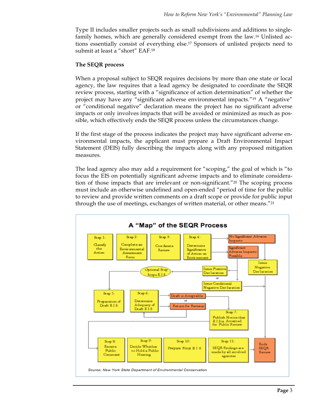Type II includes smaller projects such as small subdivisions and additions to singlefamily homes, which are generally considered exempt from the law.16 Unlisted actions essentially consist of everything else.17 Sponsors of unlisted projects need to submit at least a "short" EAF.18

#### **The SEQR process**

When a proposal subject to SEQR requires decisions by more than one state or local agency, the law requires that a lead agency be designated to coordinate the SEQR review process, starting with a "significance of action determination" of whether the project may have any "significant adverse environmental impacts."19 A "negative" or "conditional negative" declaration means the project has no significant adverse impacts or only involves impacts that will be avoided or minimized as much as possible, which effectively ends the SEQR process unless the circumstances change.

If the first stage of the process indicates the project may have significant adverse environmental impacts, the applicant must prepare a Draft Environmental Impact Statement (DEIS) fully describing the impacts along with any proposed mitigation measures.

The lead agency also may add a requirement for "scoping," the goal of which is "to focus the EIS on potentially significant adverse impacts and to eliminate consideration of those impacts that are irrelevant or non-significant."20 The scoping process must include an otherwise undefined and open-ended "period of time for the public to review and provide written comments on a draft scope or provide for public input through the use of meetings, exchanges of written material, or other means."21

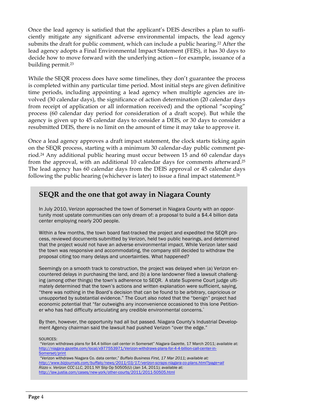Once the lead agency is satisfied that the applicant's DEIS describes a plan to sufficiently mitigate any significant adverse environmental impacts, the lead agency submits the draft for public comment, which can include a public hearing.22 After the lead agency adopts a Final Environmental Impact Statement (FEIS), it has 30 days to decide how to move forward with the underlying action—for example, issuance of a building permit.23

While the SEQR process does have some timelines, they don't guarantee the process is completed within any particular time period. Most initial steps are given definitive time periods, including appointing a lead agency when multiple agencies are involved (30 calendar days), the significance of action determination (20 calendar days from receipt of application or all information received) and the optional "scoping" process (60 calendar day period for consideration of a draft scope). But while the agency is given up to 45 calendar days to consider a DEIS, or 30 days to consider a resubmitted DEIS, there is no limit on the amount of time it may take to approve it.

Once a lead agency approves a draft impact statement, the clock starts ticking again on the SEQR process, starting with a minimum 30 calendar-day public comment period.24 Any additional public hearing must occur between 15 and 60 calendar days from the approval, with an additional 10 calendar days for comments afterward.25 The lead agency has 60 calendar days from the DEIS approval or 45 calendar days following the public hearing (whichever is later) to issue a final impact statement.26

### **SEQR and the one that got away in Niagara County**

In July 2010, Verizon approached the town of Somerset in Niagara County with an opportunity most upstate communities can only dream of: a proposal to build a \$4.4 billion data center employing nearly 200 people.

Within a few months, the town board fast-tracked the project and expedited the SEQR process, reviewed documents submitted by Verizon, held two public hearings, and determined that the project would not have an adverse environmental impact. While Verizon later said the town was responsive and accommodating, the company still decided to withdraw the proposal citing too many delays and uncertainties. What happened?

Seemingly on a smooth track to construction, the project was delayed when (a) Verizon encountered delays in purchasing the land, and (b) a lone landowner filed a lawsuit challenging (among other things) the town's adherence to SEQR. A state Supreme Court judge ultimately determined that the town's actions and written explanation were sufficient, saying, "there was nothing in the Board's decision that can be found to be arbitrary, capricious or unsupported by substantial evidence." The Court also noted that the "benign" project had economic potential that "far outweighs any inconvenience occasioned to this lone Petitioner who has had difficulty articulating any credible environmental concerns."

By then, however, the opportunity had all but passed. Niagara County's Industrial Development Agency chairman said the lawsuit had pushed Verizon "over the edge."

SOURCES:

"Verizon withdraws plans for \$4.4 billion call center in Somerset" *Niagara Gazette*, 17 March 2011; available at: http://niagara-gazette.com/local/x977553971/Verizon-withdraws-plans-for-4-4-billion-call-center-in-Somerset/print "Verizon withdraws Niagara Co. data center," *Buffalo Business First, 17 Mar 2011; available at:* 

*http://www.bizjournals.com/buffalo/news/2011/03/17/verizon-scraps-niagara-co-plans.html?page=all Rizzo v. Verizon CCC LLC*, 2011 NY Slip Op 50505(U) (Jan 14, 2011); available at: http://law.justia.com/cases/new-york/other-courts/2011/2011-50505.html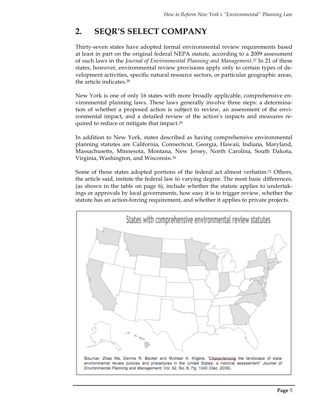### **2. SEQR'S SELECT COMPANY**

Thirty-seven states have adopted formal environmental review requirements based at least in part on the original federal NEPA statute, according to a 2009 assessment of such laws in the *Journal of Environmental Planning and Management*.27 In 21 of these states, however, environmental review provisions apply only to certain types of development activities, specific natural resource sectors, or particular geographic areas, the article indicates.28

New York is one of only 16 states with more broadly applicable, comprehensive environmental planning laws. These laws generally involve three steps: a determination of whether a proposed action is subject to review, an assessment of the environmental impact, and a detailed review of the action's impacts and measures required to reduce or mitigate that impact.29

In addition to New York, states described as having comprehensive environmental planning statutes are California, Connecticut, Georgia, Hawaii, Indiana, Maryland, Massachusetts, Minnesota, Montana, New Jersey, North Carolina, South Dakota, Virginia, Washington, and Wisconsin.30

Some of those states adopted portions of the federal act almost verbatim.31 Others, the article said, imitate the federal law to varying degree. The most basic differences, (as shown in the table on page 6), include whether the statute applies to undertakings or approvals by local governments, how easy it is to trigger review, whether the statute has an action-forcing requirement, and whether it applies to private projects.

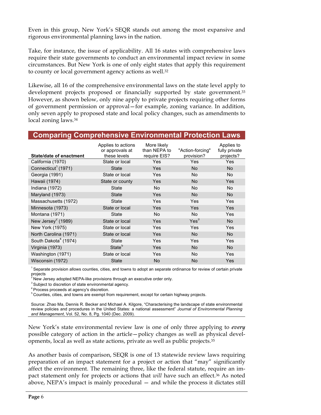Even in this group, New York's SEQR stands out among the most expansive and rigorous environmental planning laws in the nation.

Take, for instance, the issue of applicability. All 16 states with comprehensive laws require their state governments to conduct an environmental impact review in some circumstances. But New York is one of only eight states that apply this requirement to county or local government agency actions as well.32

Likewise, all 16 of the comprehensive environmental laws on the state level apply to development projects proposed or financially supported by state government.33 However, as shown below, only nine apply to private projects requiring other forms of government permission or approval—for example, zoning variance. In addition, only seven apply to proposed state and local policy changes, such as amendments to local zoning laws.34

|  |  |  | <b>Comparing Comprehensive Environmental Protection Laws</b> |  |
|--|--|--|--------------------------------------------------------------|--|
|  |  |  |                                                              |  |

| <b>State/date of enactment</b>   | Applies to actions<br>or approvals at<br>these levels | More likely<br>than NEPA to<br>require EIS? | "Action-forcing"<br>provision? | Applies to<br>fully private<br>projects? |
|----------------------------------|-------------------------------------------------------|---------------------------------------------|--------------------------------|------------------------------------------|
| California (1970)                | State or local                                        | <b>Yes</b>                                  | Yes                            | Yes                                      |
| Connecticut <sup>1</sup> (1971)  | <b>State</b>                                          | Yes                                         | No.                            | No.                                      |
| Georgia (1991)                   | State or local                                        | <b>Yes</b>                                  | No.                            | No.                                      |
| Hawaii (1974)                    | State or county                                       | Yes                                         | <b>No</b>                      | Yes                                      |
| Indiana (1972)                   | State                                                 | No                                          | No.                            | No.                                      |
| Maryland (1973)                  | <b>State</b>                                          | Yes                                         | <b>No</b>                      | <b>No</b>                                |
| Massachusetts (1972)             | State                                                 | <b>Yes</b>                                  | Yes                            | Yes                                      |
| Minnesota (1973)                 | State or local                                        | <b>Yes</b>                                  | Yes                            | Yes                                      |
| Montana (1971)                   | <b>State</b>                                          | No                                          | <b>No</b>                      | Yes                                      |
| New Jersey $2$ (1989)            | State or local                                        | Yes                                         | Yes <sup>3</sup>               | <b>No</b>                                |
| New York (1975)                  | State or local                                        | Yes                                         | Yes                            | Yes                                      |
| North Carolina (1971)            | State or local                                        | Yes                                         | <b>No</b>                      | No.                                      |
| South Dakota <sup>4</sup> (1974) | State                                                 | Yes                                         | Yes                            | Yes                                      |
| Virginia (1973)                  | State <sup>5</sup>                                    | Yes                                         | <b>No</b>                      | <b>No</b>                                |
| Washington (1971)                | State or local                                        | Yes                                         | No.                            | Yes                                      |
| Wisconsin (1972)                 | <b>State</b>                                          | <b>No</b>                                   | <b>No</b>                      | Yes                                      |

<sup>1</sup> Separate provision allows counties, cities, and towns to adopt an separate ordinance for review of certain private projects<br><sup>2</sup> New Jersey adopted NEPA-like provisions through an executive order only.<br><sup>3</sup> Subject to discretion of state environmental agency.

 $^4$  Process proceeds at agency's discretion.<br> $^5$  Counties, cities, and towns are exempt from requirement, except for certain highway projects.

Source: Zhao Ma, Dennis R. Becker and Michael A. Kilgore, "Characterising the landscape of state environmental review policies and procedures in the United States: a national assessment" *Journal of Environmental Planning and Management*, Vol. 52, No. 8, Pg. 1040 (Dec. 2009).

New York's state environmental review law is one of only three applying to *every* possible category of action in the article—policy changes as well as physical developments, local as well as state actions, private as well as public projects.35

As another basis of comparison, SEQR is one of 13 statewide review laws requiring preparation of an impact statement for a project or action that "may" significantly affect the environment. The remaining three, like the federal statute, require an impact statement only for projects or actions that *will* have such an effect.36 As noted above, NEPA's impact is mainly procedural — and while the process it dictates still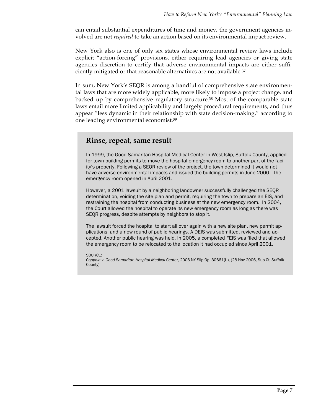can entail substantial expenditures of time and money, the government agencies involved are not *required* to take an action based on its environmental impact review.

New York also is one of only six states whose environmental review laws include explicit "action-forcing" provisions, either requiring lead agencies or giving state agencies discretion to certify that adverse environmental impacts are either sufficiently mitigated or that reasonable alternatives are not available.37

In sum, New York's SEQR is among a handful of comprehensive state environmental laws that are more widely applicable, more likely to impose a project change, and backed up by comprehensive regulatory structure.38 Most of the comparable state laws entail more limited applicability and largely procedural requirements, and thus appear "less dynamic in their relationship with state decision-making," according to one leading environmental economist.39

### **Rinse, repeat, same result**

In 1999, the Good Samaritan Hospital Medical Center in West Islip, Suffolk County, applied for town building permits to move the hospital emergency room to another part of the facility's property. Following a SEQR review of the project, the town determined it would not have adverse environmental impacts and issued the building permits in June 2000. The emergency room opened in April 2001.

However, a 2001 lawsuit by a neighboring landowner successfully challenged the SEQR determination, voiding the site plan and permit, requiring the town to prepare an EIS, and restraining the hospital from conducting business at the new emergency room. In 2004, the Court allowed the hospital to operate its new emergency room as long as there was SEQR progress, despite attempts by neighbors to stop it.

The lawsuit forced the hospital to start all over again with a new site plan, new permit applications, and a new round of public hearings. A DEIS was submitted, reviewed and accepted. Another public hearing was held. In 2005, a completed FEIS was filed that allowed the emergency room to be relocated to the location it had occupied since April 2001.

SOURCE:

*Coppola v. Good Samaritan Hospital Medical Center*, 2006 NY Slip Op. 30661(U), (28 Nov 2006, Sup Ct. Suffolk County)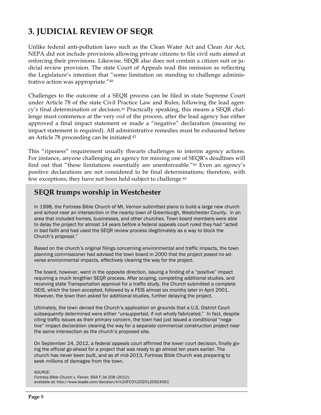### **3. JUDICIAL REVIEW OF SEQR**

Unlike federal anti-pollution laws such as the Clean Water Act and Clean Air Act, NEPA did not include provisions allowing private citizens to file civil suits aimed at enforcing their provisions. Likewise, SEQR also does not contain a citizen suit or judicial review provision. The state Court of Appeals read this omission as reflecting the Legislature's intention that "some limitation on standing to challenge administrative action was appropriate."40

Challenges to the outcome of a SEQR process can be filed in state Supreme Court under Article 78 of the state Civil Practice Law and Rules, following the lead agency's final determination or decision.41 Practically speaking, this means a SEQR challenge must commence at the very *end* of the process, after the lead agency has either approved a final impact statement or made a "negative" declaration (meaning no impact statement is required). All administrative remedies must be exhausted before an Article 78 proceeding can be initiated.42

This "ripeness" requirement usually thwarts challenges to interim agency actions. For instance, anyone challenging an agency for missing one of SEQR's deadlines will find out that "these limitations essentially are unenforceable."43 Even an agency's positive declarations are not considered to be final determinations; therefore, with few exceptions, they have not been held subject to challenge.44

### **SEQR trumps worship in Westchester**

In 1998, the Fortress Bible Church of Mt. Vernon submitted plans to build a large new church and school near an intersection in the nearby town of Greenburgh, Westchester County, in an area that included homes, businesses, and other churches. Town board members were able to delay the project for almost 14 years before a federal appeals court ruled they had "acted in bad faith and had used the SEQR review process illegitimately as a way to block the Church's proposal."

Based on the church's original filings concerning environmental and traffic impacts, the town planning commissioner had advised the town board in 2000 that the project posed no adverse environmental impacts, effectively clearing the way for the project.

The board, however, went in the opposite direction, issuing a finding of a "positive" impact requiring a much lengthier SEQR process. After scoping, completing additional studies, and receiving state Transportation approval for a traffic study, the Church submitted a complete DEIS, which the town accepted, followed by a FEIS almost six months later in April 2001. However, the town then asked for additional studies, further delaying the project.

Ultimately, the town denied the Church's application on grounds that a U.S. District Court subsequently determined were either "unsupported, if not wholly fabricated." In fact, despite citing traffic issues as their primary concern, the town had just issued a conditional "negative" impact declaration clearing the way for a separate commercial construction project near the same intersection as the church's proposed site.

On September 24, 2012, a federal appeals court affirmed the lower court decision, finally giving the official go-ahead for a project that was ready to go almost ten years earlier. The church has never been built, and as of mid-2013, Fortress Bible Church was preparing to seek millions of damages from the town.

SOURCE: *Fortress Bible Church v. Feiner*, 694 F.3d 208 (2012); available at: http://www.leagle.com/decision/In%20FCO%2020120924061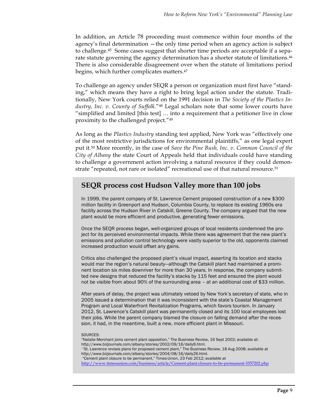In addition, an Article 78 proceeding must commence within four months of the agency's final determination —the only time period when an agency action is subject to challenge.45 Some cases suggest that shorter time periods are acceptable if a separate statute governing the agency determination has a shorter statute of limitations.46 There is also considerable disagreement over when the statute of limitations period begins, which further complicates matters.47

To challenge an agency under SEQR a person or organization must first have "standing," which means they have a right to bring legal action under the statute. Traditionally, New York courts relied on the 1991 decision in *The Society of the Plastics Industry, Inc. v. County of Suffolk*."48 Legal scholars note that some lower courts have "simplified and limited [this test] … into a requirement that a petitioner live in close proximity to the challenged project."49

As long as the *Plastics Industry* standing test applied, New York was "effectively one of the most restrictive jurisdictions for environmental plaintiffs," as one legal expert put it.50 More recently, in the case of *Save the Pine Bush, Inc. v. Common Council of the City of Albany* the state Court of Appeals held that individuals could have standing to challenge a government action involving a natural resource if they could demonstrate "repeated, not rare or isolated" recreational use of that natural resource.<sup>51</sup>

### **SEQR process cost Hudson Valley more than 100 jobs**

In 1999, the parent company of St. Lawrence Cement proposed construction of a new \$300 million facility in Greenport and Hudson, Columbia County, to replace its existing 1960s era facility across the Hudson River in Catskill, Greene County. The company argued that the new plant would be more efficient and productive, generating fewer emissions.

Once the SEQR process began, well-organized groups of local residents condemned the project for its perceived environmental impacts. While there was agreement that the new plant's emissions and pollution control technology were vastly superior to the old, opponents claimed increased production would offset any gains.

Critics also challenged the proposed plant's visual impact, asserting its location and stacks would mar the region's natural beauty—although the Catskill plant had maintained a prominent location six miles downriver for more than 30 years. In response, the company submitted new designs that reduced the facility's stacks by 115 feet and ensured the plant would not be visible from about 90% of the surrounding area – at an additional cost of \$33 million.

After years of delay, the project was ultimately vetoed by New York's secretary of state, who in 2005 issued a determination that it was inconsistent with the state's Coastal Management Program and Local Waterfront Revitalization Programs, which favors tourism. In January 2012, St. Lawrence's Catskill plant was permanently closed and its 100 local employees lost their jobs. While the parent company blamed the closure on falling demand after the recession, it had, in the meantime, built a new, more efficient plant in Missouri.

#### SOURCES:

- "Natalie Merchant joins cement plant opposition," The Business Review, 16 Sept 2002; available at: http://www.bizjournals.com/albany/stories/2002/09/16/daily9.html. "St. Lawrence revises plans for proposed cement plant," The Business Review, 18 Aug 2008; available at
- http://www.bizjournals.com/albany/stories/2004/08/16/daily26.html.

"Cement plant closure to be permanent," Times-Union, 23 Feb 2012; available at http://www.timesunion.com/business/article/Cement-plant-closure-to-be-permanent-3357202.php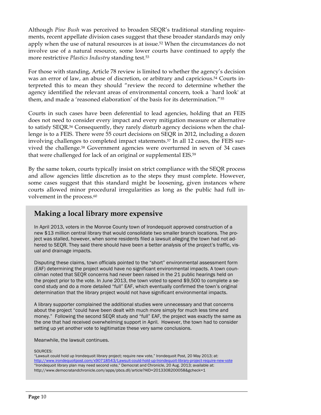Although *Pine Bush* was perceived to broaden SEQR's traditional standing requirements, recent appellate division cases suggest that these broader standards may only apply when the use of natural resources is at issue.52 When the circumstances do not involve use of a natural resource, some lower courts have continued to apply the more restrictive *Plastics Industry* standing test.53

For those with standing, Article 78 review is limited to whether the agency's decision was an error of law, an abuse of discretion, or arbitrary and capricious.<sup>54</sup> Courts interpreted this to mean they should "review the record to determine whether the agency identified the relevant areas of environmental concern, took a `hard look' at them, and made a 'reasoned elaboration' of the basis for its determination."55

Courts in such cases have been deferential to lead agencies, holding that an FEIS does not need to consider every impact and every mitigation measure or alternative to satisfy SEQR.56 Consequently, they rarely disturb agency decisions when the challenge is to a FEIS. There were 55 court decisions on SEQR in 2012, including a dozen involving challenges to completed impact statements.57 In all 12 cases, the FEIS survived the challenge.58 Government agencies were overturned in seven of 34 cases that were challenged for lack of an original or supplemental EIS.59

By the same token, courts typically insist on strict compliance with the SEQR process and allow agencies little discretion as to the steps they must complete. However, some cases suggest that this standard might be loosening, given instances where courts allowed minor procedural irregularities as long as the public had full involvement in the process.<sup>60</sup>

### **Making a local library more expensive**

In April 2013, voters in the Monroe County town of Irondequoit approved construction of a new \$13 million central library that would consolidate two smaller branch locations. The project was stalled, however, when some residents filed a lawsuit alleging the town had not adhered to SEQR. They said there should have been a better analysis of the project's traffic, visual and drainage impacts.

Disputing these claims, town officials pointed to the "short" environmental assessment form (EAF) determining the project would have no significant environmental impacts. A town councilman noted that SEQR concerns had never been raised in the 21 public hearings held on the project prior to the vote. In June 2013, the town voted to spend \$9,500 to complete a second study and do a more detailed "full" EAF, which eventually confirmed the town's original determination that the library project would not have significant environmental impacts.

A library supporter complained the additional studies were unnecessary and that concerns about the project "could have been dealt with much more simply for much less time and money." Following the second SEQR study and "full" EAF, the project was exactly the same as the one that had received overwhelming support in April. However, the town had to consider setting up yet another vote to legitimatize these very same conclusions.

Meanwhile, the lawsuit continues.

SOURCES:

"Lawsuit could hold up Irondequoit library project; require new vote," Irondequoit Post, 20 May 2013; at: http://www.irondequoitpost.com/x90718543/Lawsuit-could-hold-up-Irondequoit-library-project-require-new-vote "Irondequoit library plan may need second vote," Democrat and Chronicle, 20 Aug. 2013; available at: http://www.democratandchronicle.com/apps/pbcs.dll/article?AID=2013308200058&gcheck=1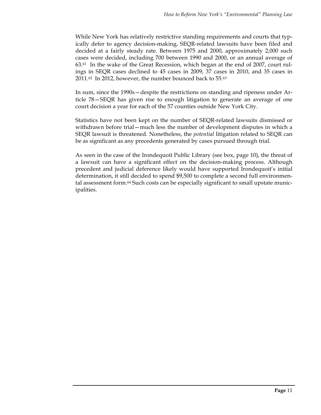While New York has relatively restrictive standing requirements and courts that typically defer to agency decision-making, SEQR-related lawsuits have been filed and decided at a fairly steady rate. Between 1975 and 2000, approximately 2,000 such cases were decided, including 700 between 1990 and 2000, or an annual average of 63.61 In the wake of the Great Recession, which began at the end of 2007, court rulings in SEQR cases declined to 45 cases in 2009, 37 cases in 2010, and 35 cases in 2011.62 In 2012, however, the number bounced back to 55.63

In sum, since the 1990s—despite the restrictions on standing and ripeness under Article 78—SEQR has given rise to enough litigation to generate an average of one court decision a year for each of the 57 counties outside New York City.

Statistics have not been kept on the number of SEQR-related lawsuits dismissed or withdrawn before trial—much less the number of development disputes in which a SEQR lawsuit is threatened. Nonetheless, the *potential* litigation related to SEQR can be as significant as any precedents generated by cases pursued through trial.

As seen in the case of the Irondequoit Public Library (see box, page 10), the threat of a lawsuit can have a significant effect on the decision-making process. Although precedent and judicial deference likely would have supported Irondequoit's initial determination, it still decided to spend \$9,500 to complete a second full environmental assessment form.<sup>64</sup> Such costs can be especially significant to small upstate municipalities.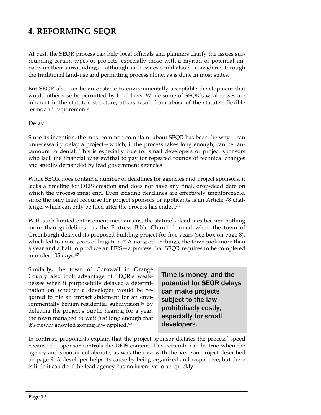### **4. REFORMING SEQR**

At best, the SEQR process can help local officials and planners clarify the issues surrounding certain types of projects, especially those with a myriad of potential impacts on their surroundings – although such issues could also be considered through the traditional land-use and permitting process alone, as is done in most states.

But SEQR also can be an obstacle to environmentally acceptable development that would otherwise be permitted by local laws. While some of SEQR's weaknesses are inherent in the statute's structure, others result from abuse of the statute's flexible terms and requirements.

#### **Delay**

Since its inception, the most common complaint about SEQR has been the way it can unnecessarily delay a project—which, if the process takes long enough, can be tantamount to denial. This is especially true for small developers or project sponsors who lack the financial wherewithal to pay for repeated rounds of technical changes and studies demanded by lead government agencies.

While SEQR does contain a number of deadlines for agencies and project sponsors, it lacks a timeline for DEIS creation and does not have any final, drop-dead date on which the process must end. Even existing deadlines are effectively unenforceable, since the only legal recourse for project sponsors or applicants is an Article 78 challenge, which can only be filed after the process has ended.<sup>65</sup>

With such limited enforcement mechanisms, the statute's deadlines become nothing more than guidelines—as the Fortress Bible Church learned when the town of Greenburgh delayed its proposed building project for five years (see box on page 8), which led to more years of litigation.<sup>66</sup> Among other things, the town took more than a year and a half to produce an FEIS—a process that SEQR requires to be completed in under 105 days.67

Similarly, the town of Cornwall in Orange County also took advantage of SEQR's weaknesses when it purposefully delayed a determination on whether a developer would be required to file an impact statement for an environmentally benign residential subdivision.68 By delaying the project's public hearing for a year, the town managed to wait *just* long enough that it's newly adopted zoning law applied.<sup>69</sup>

Time is money, and the potential for SEQR delays can make projects subject to the law prohibitively costly, especially for small developers.

In contrast, proponents explain that the project sponsor dictates the process' speed because the sponsor controls the DEIS content. This certainly can be true when the agency and sponsor collaborate, as was the case with the Verizon project described on page 9. A developer helps its cause by being organized and responsive, but there is little it can do if the lead agency has no incentive to act quickly.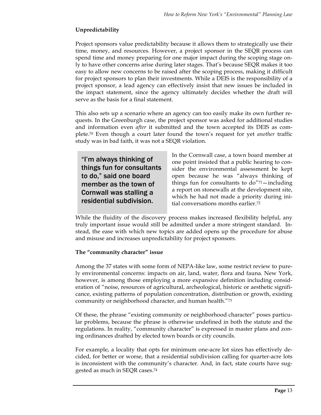### **Unpredictability**

Project sponsors value predictability because it allows them to strategically use their time, money, and resources. However, a project sponsor in the SEQR process can spend time and money preparing for one major impact during the scoping stage only to have other concerns arise during later stages. That's because SEQR makes it too easy to allow new concerns to be raised after the scoping process, making it difficult for project sponsors to plan their investments. While a DEIS is the responsibility of a project sponsor, a lead agency can effectively insist that new issues be included in the impact statement, since the agency ultimately decides whether the draft will serve as the basis for a final statement.

This also sets up a scenario where an agency can too easily make its own further requests. In the Greenburgh case, the project sponsor was asked for additional studies and information even *after* it submitted and the town accepted its DEIS as complete.70 Even though a court later found the town's request for yet *another* traffic study was in bad faith, it was not a SEQR violation.

"I'm always thinking of things fun for consultants to do," said one board member as the town of Cornwall was stalling a residential subdivision.

In the Cornwall case, a town board member at one point insisted that a public hearing to consider the environmental assessment be kept open because he was "always thinking of things fun for consultants to do"71—including a report on stonewalls at the development site, which he had not made a priority during initial conversations months earlier.72

While the fluidity of the discovery process makes increased flexibility helpful, any truly important issue would still be admitted under a more stringent standard. Instead, the ease with which new topics are added opens up the procedure for abuse and misuse and increases unpredictability for project sponsors.

### **The "community character" issue**

Among the 37 states with some form of NEPA-like law, some restrict review to purely environmental concerns: impacts on air, land, water, flora and fauna. New York, however, is among those employing a more expansive definition including consideration of "noise, resources of agricultural, archeological, historic or aesthetic significance, existing patterns of population concentration, distribution or growth, existing community or neighborhood character, and human health."73

Of these, the phrase "existing community or neighborhood character" poses particular problems, because the phrase is otherwise undefined in both the statute and the regulations. In reality, "community character" is expressed in master plans and zoning ordinances drafted by elected town boards or city councils.

For example, a locality that opts for minimum one-acre lot sizes has effectively decided, for better or worse, that a residential subdivision calling for quarter-acre lots is inconsistent with the community's character. And, in fact, state courts have suggested as much in SEQR cases.74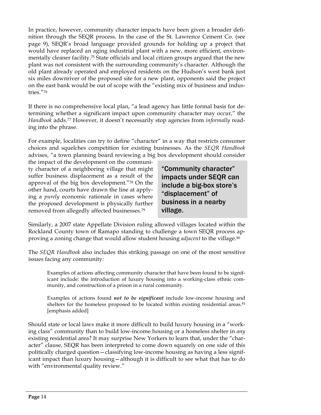In practice, however, community character impacts have been given a broader definition through the SEQR process. In the case of the St. Lawrence Cement Co. (see page 9), SEQR's broad language provided grounds for holding up a project that would have replaced an aging industrial plant with a new, more efficient, environmentally cleaner facility.75 State officials and local citizen groups argued that the new plant was not consistent with the surrounding community's character. Although the old plant already operated and employed residents on the Hudson's west bank just six miles downriver of the proposed site for a new plant, opponents said the project on the east bank would be out of scope with the "existing mix of business and industries."76

If there is no comprehensive local plan, "a lead agency has little formal basis for determining whether a significant impact upon community character may occur," the *Handbook* adds.77 However, it doesn't necessarily stop agencies from *informally* reading into the phrase.

For example, localities can try to define "character" in a way that restricts consumer choices and squelches competition for existing businesses. As the *SEQR Handbook* advises, "a town planning board reviewing a big box development should consider

the impact of the development on the community character of a neighboring village that might suffer business displacement as a result of the approval of the big box development."78 On the other hand, courts have drawn the line at applying a *purely* economic rationale in cases where the proposed development is physically further removed from allegedly affected businesses.79

"Community character" impacts under SEQR can include a big-box store's "displacement" of business in a nearby village.

Similarly, a 2007 state Appellate Division ruling allowed villages located within the Rockland County town of Ramapo standing to challenge a town SEQR process approving a zoning change that would allow student housing *adjacent* to the village.80

The *SEQR Handbook* also includes this striking passage on one of the most sensitive issues facing any community*:*

Examples of actions affecting community character that have been found to be significant include: the introduction of luxury housing into a working-class ethnic community, and construction of a prison in a rural community.

Examples of actions found *not to be significant* include low-income housing and shelters for the homeless proposed to be located within existing residential areas.<sup>81</sup> [emphasis added]

Should state or local laws make it more difficult to build luxury housing in a "working class" community than to build low-income housing or a homeless shelter in *any*  existing residential area? It may surprise New Yorkers to learn that, under the "character" clause, SEQR has been interpreted to come down squarely on one side of this politically charged question—classifying low-income housing as having a less significant impact than luxury housing—although it is difficult to see what that has to do with "environmental quality review."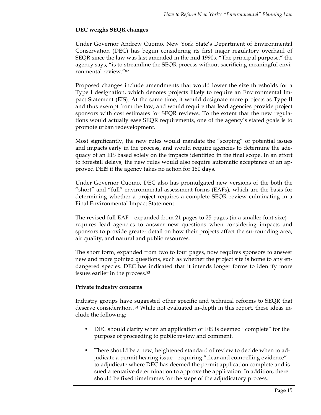### **DEC weighs SEQR changes**

Under Governor Andrew Cuomo, New York State's Department of Environmental Conservation (DEC) has begun considering its first major regulatory overhaul of SEQR since the law was last amended in the mid 1990s. "The principal purpose," the agency says, "is to streamline the SEQR process without sacrificing meaningful environmental review."82

Proposed changes include amendments that would lower the size thresholds for a Type I designation, which denotes projects likely to require an Environmental Impact Statement (EIS). At the same time, it would designate more projects as Type II and thus exempt from the law, and would require that lead agencies provide project sponsors with cost estimates for SEQR reviews. To the extent that the new regulations would actually ease SEQR requirements, one of the agency's stated goals is to promote urban redevelopment.

Most significantly, the new rules would mandate the "scoping" of potential issues and impacts early in the process, and would require agencies to determine the adequacy of an EIS based solely on the impacts identified in the final scope. In an effort to forestall delays, the new rules would also require automatic acceptance of an approved DEIS if the agency takes no action for 180 days.

Under Governor Cuomo, DEC also has promulgated new versions of the both the "short" and "full" environmental assessment forms (EAFs), which are the basis for determining whether a project requires a complete SEQR review culminating in a Final Environmental Impact Statement.

The revised full  $EAF$  – expanded from 21 pages to 25 pages (in a smaller font size) – requires lead agencies to answer new questions when considering impacts and sponsors to provide greater detail on how their projects affect the surrounding area, air quality, and natural and public resources.

The short form, expanded from two to four pages, now requires sponsors to answer new and more pointed questions, such as whether the project site is home to any endangered species. DEC has indicated that it intends longer forms to identify more issues earlier in the process.83

#### **Private industry concerns**

Industry groups have suggested other specific and technical reforms to SEQR that deserve consideration .84 While not evaluated in-depth in this report, these ideas include the following:

- DEC should clarify when an application or EIS is deemed "complete" for the purpose of proceeding to public review and comment.
- There should be a new, heightened standard of review to decide when to adjudicate a permit hearing issue – requiring "clear and compelling evidence" to adjudicate where DEC has deemed the permit application complete and issued a tentative determination to approve the application. In addition, there should be fixed timeframes for the steps of the adjudicatory process.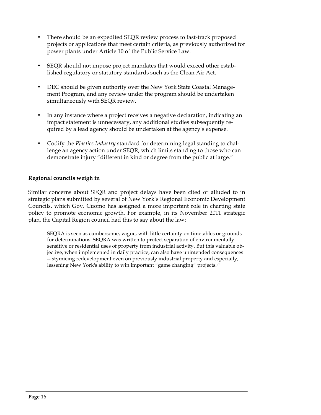- There should be an expedited SEQR review process to fast-track proposed projects or applications that meet certain criteria, as previously authorized for power plants under Article 10 of the Public Service Law.
- SEQR should not impose project mandates that would exceed other established regulatory or statutory standards such as the Clean Air Act.
- DEC should be given authority over the New York State Coastal Management Program, and any review under the program should be undertaken simultaneously with SEQR review.
- In any instance where a project receives a negative declaration, indicating an impact statement is unnecessary, any additional studies subsequently required by a lead agency should be undertaken at the agency's expense.
- Codify the *Plastics Industry* standard for determining legal standing to challenge an agency action under SEQR, which limits standing to those who can demonstrate injury "different in kind or degree from the public at large."

### **Regional councils weigh in**

Similar concerns about SEQR and project delays have been cited or alluded to in strategic plans submitted by several of New York's Regional Economic Development Councils, which Gov. Cuomo has assigned a more important role in charting state policy to promote economic growth. For example, in its November 2011 strategic plan, the Capital Region council had this to say about the law:

SEQRA is seen as cumbersome, vague, with little certainty on timetables or grounds for determinations. SEQRA was written to protect separation of environmentally sensitive or residential uses of property from industrial activity. But this valuable objective, when implemented in daily practice, can also have unintended consequences -- stymieing redevelopment even on previously industrial property and especially, lessening New York's ability to win important "game changing" projects.85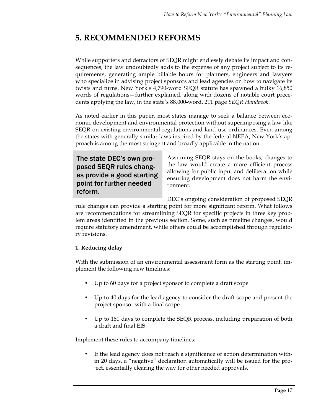### **5. RECOMMENDED REFORMS**

While supporters and detractors of SEQR might endlessly debate its impact and consequences, the law undoubtedly adds to the expense of any project subject to its requirements, generating ample billable hours for planners, engineers and lawyers who specialize in advising project sponsors and lead agencies on how to navigate its twists and turns. New York's 4,790-word SEQR statute has spawned a bulky 16,850 words of regulations—further explained, along with dozens of notable court precedents applying the law, in the state's 88,000-word, 211 page *SEQR Handbook*.

As noted earlier in this paper, most states manage to seek a balance between economic development and environmental protection without superimposing a law like SEQR on existing environmental regulations and land-use ordinances. Even among the states with generally similar laws inspired by the federal NEPA, New York's approach is among the most stringent and broadly applicable in the nation.

### The state DEC's own proposed SEQR rules changes provide a good starting point for further needed reform.

Assuming SEQR stays on the books, changes to the law would create a more efficient process allowing for public input and deliberation while ensuring development does not harm the environment.

DEC's ongoing consideration of proposed SEQR

rule changes can provide a starting point for more significant reform. What follows are recommendations for streamlining SEQR for specific projects in three key problem areas identified in the previous section. Some, such as timeline changes, would require statutory amendment, while others could be accomplished through regulatory revisions.

### **1. Reducing delay**

With the submission of an environmental assessment form as the starting point, implement the following new timelines:

- Up to 60 days for a project sponsor to complete a draft scope
- Up to 40 days for the lead agency to consider the draft scope and present the project sponsor with a final scope
- Up to 180 days to complete the SEQR process, including preparation of both a draft and final EIS

Implement these rules to accompany timelines:

If the lead agency does not reach a significance of action determination within 20 days, a "negative" declaration automatically will be issued for the project, essentially clearing the way for other needed approvals.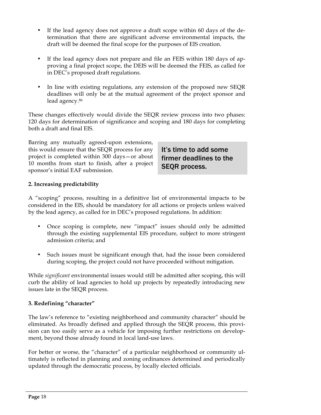- If the lead agency does not approve a draft scope within 60 days of the determination that there are significant adverse environmental impacts, the draft will be deemed the final scope for the purposes of EIS creation.
- If the lead agency does not prepare and file an FEIS within 180 days of approving a final project scope, the DEIS will be deemed the FEIS, as called for in DEC's proposed draft regulations.
- In line with existing regulations, any extension of the proposed new SEQR deadlines will only be at the mutual agreement of the project sponsor and lead agency.86

These changes effectively would divide the SEQR review process into two phases: 120 days for determination of significance and scoping and 180 days for completing both a draft and final EIS.

Barring any mutually agreed-upon extensions, this would ensure that the SEQR process for any project is completed within 300 days—or about 10 months from start to finish, after a project sponsor's initial EAF submission.

It's time to add some firmer deadlines to the SEQR process.

### **2. Increasing predictability**

A "scoping" process, resulting in a definitive list of environmental impacts to be considered in the EIS, should be mandatory for all actions or projects unless waived by the lead agency, as called for in DEC's proposed regulations. In addition:

- Once scoping is complete, new "impact" issues should only be admitted through the existing supplemental EIS procedure, subject to more stringent admission criteria; and
- Such issues must be significant enough that, had the issue been considered during scoping, the project could not have proceeded without mitigation.

While *significant* environmental issues would still be admitted after scoping, this will curb the ability of lead agencies to hold up projects by repeatedly introducing new issues late in the SEQR process.

#### **3. Redefining "character"**

The law's reference to "existing neighborhood and community character" should be eliminated. As broadly defined and applied through the SEQR process, this provision can too easily serve as a vehicle for imposing further restrictions on development, beyond those already found in local land-use laws.

For better or worse, the "character" of a particular neighborhood or community ultimately is reflected in planning and zoning ordinances determined and periodically updated through the democratic process, by locally elected officials.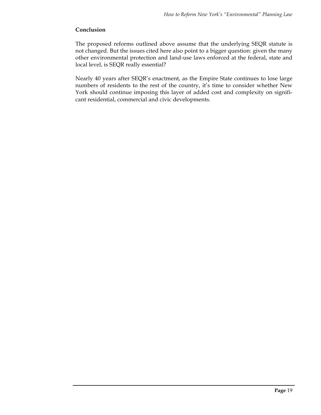#### **Conclusion**

The proposed reforms outlined above assume that the underlying SEQR statute is not changed. But the issues cited here also point to a bigger question: given the many other environmental protection and land-use laws enforced at the federal, state and local level, is SEQR really essential?

Nearly 40 years after SEQR's enactment, as the Empire State continues to lose large numbers of residents to the rest of the country, it's time to consider whether New York should continue imposing this layer of added cost and complexity on significant residential, commercial and civic developments.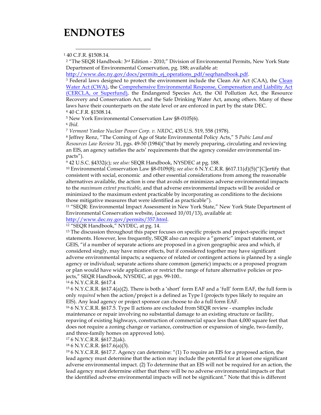### **ENDNOTES**

1 40 C.F.R. §1508.14.

<sup>2</sup> "The SEQR Handbook: 3<sup>rd</sup> Edition - 2010," Division of Environmental Permits, New York State Department of Environmental Conservation, pg. 188; available at:

http://www.dec.ny.gov/docs/permits\_ej\_operations\_pdf/seqrhandbook.pdf.

<sup>3</sup> Federal laws designed to protect the environment include the Clean Air Act (CAA), the Clean Water Act (CWA), the Comprehensive Environmental Response, Compensation and Liability Act (CERCLA, or Superfund), the Endangered Species Act, the Oil Pollution Act, the Resource Recovery and Conservation Act, and the Safe Drinking Water Act, among others. Many of these laws have their counterparts on the state level or are enforced in part by the state DEC. <sup>4</sup> 40 C.F.R. §1508.14.

<sup>5</sup> New York Environmental Conservation Law §8-0105(6).

<sup>6</sup> *Ibid.*

<sup>7</sup> *Vermont Yankee Nuclear Power Corp. v. NRDC*, 435 U.S. 519, 558 (1978).

<sup>8</sup> Jeffrey Renz, "The Coming of Age of State Environmental Policy Acts," 5 *Pubic Land and Resources Law Review* 31, pgs. 49-50 (1984)("that by merely preparing, circulating and reviewing an EIS, an agency satisfies the acts' requirements that the agency consider environmental impacts").

<sup>9</sup> 42 U.S.C. §4332(c); *see also:* SEQR Handbook, NYSDEC at pg. 188.

<sup>10</sup> Environmental Conservation Law §8-0109(8); *see also:* 6 N.Y.C.R.R. §617.11(d)(5)("[C]ertify that consistent with social, economic and other essential considerations from among the reasonable alternatives available, the action is one that avoids or minimizes adverse environmental impacts to the *maximum extent practicable*, and that adverse environmental impacts will be avoided or minimized to the maximum extent practicable by incorporating as conditions to the decisions those mitigative measures that were identified as practicable").

<sup>11</sup> "SEQR: Environmental Impact Assessment in New York State," New York State Department of Environmental Conservation website, (accessed 10/01/13), available at:

http://www.dec.ny.gov/permits/357.html.<br><sup>12</sup> "SEQR Handbook," NYDEC, at pg. 14.

<sup>13</sup> The discussion throughout this paper focuses on specific projects and project-specific impact statements. However, less frequently, SEQR also can require a "generic" impact statement, or GEIS, "if a number of separate actions are proposed in a given geographic area and which, if considered singly, may have minor effects, but if considered together may have significant adverse environmental impacts; a sequence of related or contingent actions is planned by a single agency or individual; separate actions share common (generic) impacts; or a proposed program or plan would have wide application or restrict the range of future alternative policies or projects," SEQR Handbook, NYSDEC, at pgs. 99-100..

<sup>14</sup> 6 N.Y.C.R.R. §617.4

<sup>15</sup> 6 N.Y.C.R.R. §617.4(a)(2). There is both a 'short' form EAF and a 'full' form EAF, the full form is only *required* when the action/project is a defined as Type I (projects types likely to require an EIS). Any lead agency or project sponsor can choose to do a full form EAF.

<sup>16</sup> 6 N.Y.C.R.R. §617.5. Type II actions are excluded from SEQR review - examples include maintenance or repair involving no substantial damage to an existing structure or facility, repaving of existing highways, construction of commercial space less than 4,000 square feet that does not require a zoning change or variance, construction or expansion of single, two-family, and three-family homes on approved lots).

<sup>17</sup> 6 N.Y.C.R.R. §617.2(ak).

<sup>18</sup> 6 N.Y.C.R.R. §617.6(a)(3).

<sup>19</sup> 6 N.Y.C.R.R. §617.7. Agency can determine: "(1) To require an EIS for a proposed action, the lead agency must determine that the action may include the potential for at least one significant adverse environmental impact. (2) To determine that an EIS will not be required for an action, the lead agency must determine either that there will be no adverse environmental impacts or that the identified adverse environmental impacts will not be significant." Note that this is different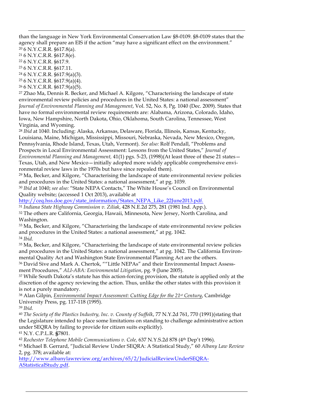than the language in New York Environmental Conservation Law §8-0109. §8-0109 states that the agency shall prepare an EIS if the action "may have a significant effect on the environment."

<sup>20</sup> 6 N.Y.C.R.R. §617.8(a).

<sup>21</sup> 6 N.Y.C.R.R. §617.8(e).

<sup>22</sup> 6 N.Y.C.R.R. §617.9.

 $\overline{a}$ 

<sup>23</sup> 6 N.Y.C.R.R. §617.11.

<sup>24</sup> 6 N.Y.C.R.R. §617.9(a)(3).

<sup>25</sup> 6 N.Y.C.R.R. §617.9(a)(4).

<sup>26</sup> 6 N.Y.C.R.R. §617.9(a)(5).

<sup>27</sup> Zhao Ma, Dennis R. Becker, and Michael A. Kilgore, "Characterising the landscape of state environmental review policies and procedures in the United States: a national assessment" *Journal of Environmental Planning and Management*, Vol. 52, No. 8, Pg. 1040 (Dec. 2009). States that have no formal environmental review requirements are: Alabama, Arizona, Colorado, Idaho, Iowa, New Hampshire, North Dakota, Ohio, Oklahoma, South Carolina, Tennessee, West Virginia, and Wyoming.

<sup>28</sup> *Ibid* at 1040. Including: Alaska, Arkansas, Delaware, Florida, Illinois, Kansas, Kentucky, Louisiana, Maine, Michigan, Mississippi, Missouri, Nebraska, Nevada, New Mexico, Oregon, Pennsylvania, Rhode Island, Texas, Utah, Vermont). *See also:* Rolf Pendall, "Problems and Prospects in Local Environmental Assessment: Lessons from the United States," *Journal of Environmental Planning and Management,* 41(1) pgs. 5-23, (1998)(At least three of these 21 states— Texas, Utah, and New Mexico—initially adopted more widely applicable comprehensive environmental review laws in the 1970s but have since repealed them).

 $29$  Ma, Becker, and Kilgore, "Characterising the landscape of state environmental review policies and procedures in the United States: a national assessment," at pg. 1039.

<sup>30</sup> *Ibid* at 1040; *see also:* "State NEPA Contacts," The White House's Council on Environmental Quality website; (accessed 1 Oct 2013), available at

http://ceq.hss.doe.gov/state\_information/States\_NEPA\_Like\_22June2013.pdf.

<sup>31</sup> *Indiana State Highway Commission v. Ziliak*, 428 N.E.2d 275, 281 (1981 Ind. App.).

<sup>32</sup> The others are California, Georgia, Hawaii, Minnesota, New Jersey, North Carolina, and Washington.

<sup>33</sup> Ma, Becker, and Kilgore, "Characterising the landscape of state environmental review policies and procedures in the United States: a national assessment," at pg. 1042. <sup>34</sup> *Ibid.*

<sup>35</sup> Ma, Becker, and Kilgore, "Characterising the landscape of state environmental review policies and procedures in the United States: a national assessment," at pg. 1042. The California Environmental Quality Act and Washington State Environmental Planning Act are the others.

<sup>36</sup> David Sive and Mark A. Chertok, ""Little NEPAs" and their Environmental Impact Assessment Procedures," *ALI-ABA: Environmental Litigation*, pg. 9 (June 2005).

<sup>37</sup> While South Dakota's statute has this action-forcing provision, the statute is applied only at the discretion of the agency reviewing the action. Thus, unlike the other states with this provision it is not a purely mandatory.

<sup>38</sup> Alan Gilpin, *Environmental Impact Assessment: Cutting Edge for the 21st Century*, Cambridge University Press, pg. 117-118 (1995).

<sup>39</sup> *Ibid.* 

<sup>40</sup> *The Society of the Plastics Industry, Inc. v. County of Suffolk*, 77 N.Y.2d 761, 770 (1991)(stating that the Legislature intended to place some limitations on standing to challenge administrative action under SEQRA by failing to provide for citizen suits explicitly).

<sup>41</sup> N.Y. C.P.L.R. **§**7801.

<sup>42</sup> Rochester Telephone Mobile Communications v. Cole, 637 N.Y.S.2d 878 (4<sup>th</sup> Dep't 1996).

<sup>43</sup> Michael B. Gerrard, "Judicial Review Under SEQRA: A Statistical Study," 60 *Albany Law Review* 2, pg. 378; available at:

http://www.albanylawreview.org/archives/65/2/JudicialReviewUnderSEQRA-AStatisticalStudy.pdf.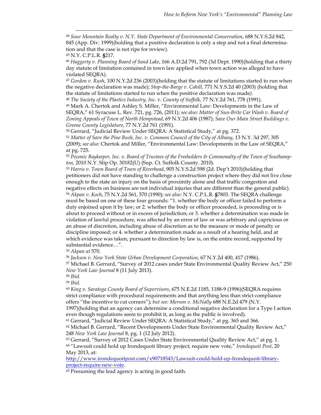44 *Sour Mountain Realty v. N.Y. State Department of Environmental Conservation*, 688 N.Y.S.2d 842, 845 (App. Div. 1999)(holding that a positive declaration is only a step and not a final determination and that the case is not ripe for review).

<sup>45</sup> N.Y. C.P.L.R. **§**217.

<sup>46</sup> *Haggerty v. Planning Board of Sand Lake*, 166 A.D.2d 791, 792 (3d Dept. 1990)(holding that a thirty day statute of limitation contained in town law applied when town action was alleged to have violated SEQRA).

<sup>47</sup> *Gordon v. Rush*, 100 N.Y.2d 236 (2003)(holding that the statute of limitations started to run when the negative declaration was made); *Stop-the-Barge v. Cahill,* 771 N.Y.S.2d 40 (2003) (holding that the statute of limitations started to run when the positive declaration was made*).*

<sup>48</sup> *The Society of the Plastics Industry, Inc. v. County of Suffolk,* 77 N.Y.2d 761, 778 (1991).

<sup>49</sup> Mark A. Chertok and Ashley S. Miller, "Environmental Law: Developments in the Law of SEQRA," 61 Syracuse L. Rev. 721, pg. 726, (2011); *see also: Matter of Sun-Brite Car Wash v. Board of Zoning Appeals of Town of North Hempstead*, 69 N.Y.2d 406 (1987); *Save Our Main Street Buildings v. Greene County Legislature*, 77 N.Y.2d 761 (1991)*.*

<sup>50</sup> Gerrard, "Judicial Review Under SEQRA: A Statistical Study," at pg. 372.

<sup>51</sup> *Matter of Save the Pine Bush, Inc. v. Common Council of the City of Albany*, 13 N.Y. 3d 297, 305 (2009); *see also:* Chertok and Miller, "Environmental Law: Developments in the Law of SEQRA," at pg. 725.

<sup>52</sup> *Peconic Baykeeper, Inc. v. Board of Trustees of the Freeholders & Commonalty of the Town of Southampton,* 2010 N.Y. Slip Op. 30182(U) (Sup. Ct. Suffolk County. 2010).

<sup>53</sup> *Harris v. Town Board of Town of Riverhead*, 905 N.Y.S.2d 598 (2d. Dep't 2010)(holding that petitioners did not have standing to challenge a construction project where they did not live close enough to the state an injury on the basis of proximity alone and that traffic congestion and negative effects on business are not individual injuries that are different than the general public). <sup>54</sup> *Akpan v. Koch*, 75 N.Y.2d 561, 570 (1990); *see also:* N.Y. C.P.L.R. **§**7803. The SEQRA challenge must be based on one of these four grounds: "1. whether the body or officer failed to perform a duty enjoined upon it by law; or 2. whether the body or officer proceeded, is proceeding or is about to proceed without or in excess of jurisdiction; or 3. whether a determination was made in violation of lawful procedure, was affected by an error of law or was arbitrary and capricious or an abuse of discretion, including abuse of discretion as to the measure or mode of penalty or discipline imposed; or 4. whether a determination made as a result of a hearing held, and at which evidence was taken, pursuant to direction by law is, on the entire record, supported by substantial evidence…".

<sup>55</sup> *Akpan at* 570.

<sup>56</sup> *Jackson v. New York State Urban Development Corporation*, 67 N.Y.2d 400, 417 (1986).

<sup>57</sup> Michael B. Gerrard, "Survey of 2012 cases under State Environmental Quality Review Act," 250 *New York Law Journal* 8 (11 July 2013).

<sup>58</sup> *Ibid.*

<sup>59</sup> *Ibid.*

<sup>60</sup> *King v. Saratoga County Board of Supervisors*, 675 N.E.2d 1185, 1188-9 (1996)(SEQRA requires strict compliance with procedural requirements and that anything less than strict compliance offers "the incentive to cut corners"); *but see: Merson v. McNally* 688 N.E.2d 479 (N.Y. 1997)(holding that an agency can determine a conditional negative declaration for a Type I action

even though regulations seem to prohibit it, as long as the public is involved).

<sup>61</sup> Gerrard, "Judicial Review Under SEQRA: A Statistical Study," at pg. 365 and 366.

<sup>62</sup> Michael B. Gerrard, "Recent Developments Under State Environmental Quality Review Act," 248 *New York Law Journal* 8, pg. 1 (12 July 2012).

 $63$  Gerrard, "Survey of 2012 Cases Under State Environmental Quality Review Act," at pg. 1. <sup>64</sup> "Lawsuit could hold up Irondequoit library project; require new vote," *Irondequoit Post*, 20 May 2013, at:

http://www.irondequoitpost.com/x90718543/Lawsuit-could-hold-up-Irondequoit-libraryproject-require-new-vote.

<sup>65</sup> Presuming the lead agency is acting in good faith.